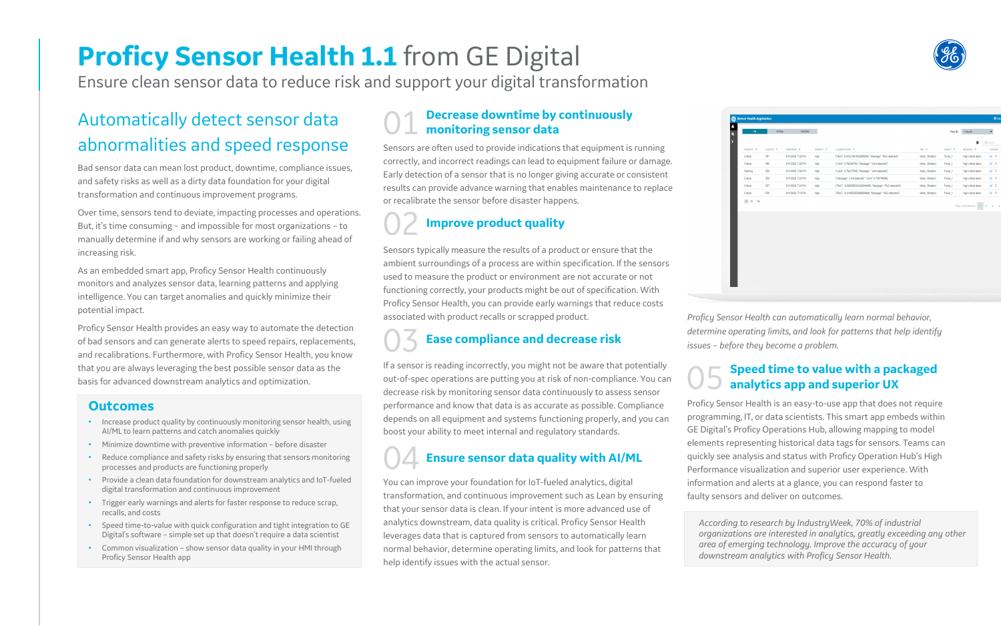# **Proficy Sensor Health 1.1** from GE Digital

Ensure clean sensor data to reduce risk and support your digital transformation

# **Decrease downtime by continuously monitoring sensor data**

# Automatically detect sensor data abnormalities and speed response

Sensors are often used to provide indications that equipment is running correctly, and incorrect readings can lead to equipment failure or damage. Early detection of a sensor that is no longer giving accurate or consistent results can provide advance warning that enables maintenance to replace or recalibrate the sensor before disaster happens.

# **Improve product quality**

Sensors typically measure the results of a product or ensure that the ambient surroundings of a process are within specification. If the sensors used to measure the product or environment are not accurate or not functioning correctly, your products might be out of specification. With Proficy Sensor Health, you can provide early warnings that reduce costs associated with product recalls or scrapped product.

03 **Ease compliance and decrease risk**

If a sensor is reading incorrectly, you might not be aware that potentially out-of-spec operations are putting you at risk of non-compliance. You can decrease risk by monitoring sensor data continuously to assess sensor performance and know that data is as accurate as possible. Compliance depends on all equipment and systems functioning properly, and you can boost your ability to meet internal and regulatory standards.

# 05 **Speed time to value with a packaged analytics app and superior UX**

Proficy Sensor Health is an easy-to-use app that does not require programming, IT, or data scientists. This smart app embeds within GE Digital's Proficy Operations Hub, allowing mapping to model elements representing historical data tags for sensors. Teams can quickly see analysis and status with Proficy Operation Hub's High Performance visualization and superior user experience. With information and alerts at a glance, you can respond faster to faulty sensors and deliver on outcomes.



|            |           | Active<br>Inactive |            |                                                             |                 | View By  | 1 Month                       |
|------------|-----------|--------------------|------------|-------------------------------------------------------------|-----------------|----------|-------------------------------|
|            |           |                    |            |                                                             |                 |          | ۰                             |
| SEVERITY Y | ALERTID V | TIMESTAMP V        | PRIORITY Y | CLASSIFICATION V                                            | TAG Y           | OBJECT V | MESSAGE <b>V</b>              |
| Critical   | 561       | 9/11/2020, 7:28 PM | High       | ("RoC": 0.010214611822660098, "Message": "RoC detected")    | Motor_Vibration | Pump_1   | high critical alerts          |
| Critical   | 560       | 9/11/2020, 7:28 PM | High       | ("Limit": 0.762394783, "Message": "Limit detected")         | Motor_Vibration | Pump_1   | high critical alerts          |
| Warning    | 559       | 9/11/2020, 7:28 PM | High       | ("Limit": 0.762137648, "Message": "Limit detected")         | Motor_Vibration | Pump_1   | high critical alerts          |
| Critical   | 558       | 9/11/2020, 7:23 PM | High       | {"Message": "Limit detected", "Limit": 0.758794896}         | Motor_Vibration | Pump_1   | high critical alerts          |
| Critical   | 557       | 9/11/2020, 7:23 PM | High       | ("RoC": - 0.0025585423228346458, "Message": "RoC detected") | Motor_Vibration | Pump_1   | high critical alerts          |
| Critical   | 556       | 9/11/2020, 7:18 PM | High       | ("RoC": - 0.018853850999999988, "Message": "RoC detected")  | Motor Vibration | Pump_1   | high critical alerts          |
|            |           |                    |            |                                                             |                 |          | Page 1 of 55 (546 items)<br>1 |
|            |           |                    |            |                                                             |                 |          |                               |
|            |           |                    |            |                                                             |                 |          |                               |
|            |           |                    |            |                                                             |                 |          |                               |
|            |           |                    |            |                                                             |                 |          |                               |
|            |           |                    |            |                                                             |                 |          |                               |
|            |           |                    |            |                                                             |                 |          |                               |
|            |           |                    |            |                                                             |                 |          |                               |

# **Outcomes**

- Increase product quality by continuously monitoring sensor health, using AI/ML to learn patterns and catch anomalies quickly
- Minimize downtime with preventive information before disaster
- Reduce compliance and safety risks by ensuring that sensors monitoring processes and products are functioning properly
- Provide a clean data foundation for downstream analytics and IoT-fueled digital transformation and continuous improvement
- Trigger early warnings and alerts for faster response to reduce scrap, recalls, and costs
- Speed time-to-value with quick configuration and tight integration to GE Digital's software – simple set up that doesn't require a data scientist
- Common visualization show sensor data quality in your HMI through Proficy Sensor Health app

*Proficy Sensor Health can automatically learn normal behavior, determine operating limits, and look for patterns that help identify issues – before they become a problem.*

# 04 **Ensure sensor data quality with AI/ML**

You can improve your foundation for IoT-fueled analytics, digital transformation, and continuous improvement such as Lean by ensuring that your sensor data is clean. If your intent is more advanced use of analytics downstream, data quality is critical. Proficy Sensor Health leverages data that is captured from sensors to automatically learn normal behavior, determine operating limits, and look for patterns that help identify issues with the actual sensor.

Bad sensor data can mean lost product, downtime, compliance issues, and safety risks as well as a dirty data foundation for your digital transformation and continuous improvement programs.

Over time, sensors tend to deviate, impacting processes and operations. But, it's time consuming – and impossible for most organizations – to manually determine if and why sensors are working or failing ahead of increasing risk.

As an embedded smart app, Proficy Sensor Health continuously monitors and analyzes sensor data, learning patterns and applying intelligence. You can target anomalies and quickly minimize their potential impact.

Proficy Sensor Health provides an easy way to automate the detection of bad sensors and can generate alerts to speed repairs, replacements, and recalibrations. Furthermore, with Proficy Sensor Health, you know that you are always leveraging the best possible sensor data as the basis for advanced downstream analytics and optimization.

> *According to research by IndustryWeek, 70% of industrial organizations are interested in analytics, greatly exceeding any other area of emerging technology. Improve the accuracy of your downstream analytics with Proficy Sensor Health.*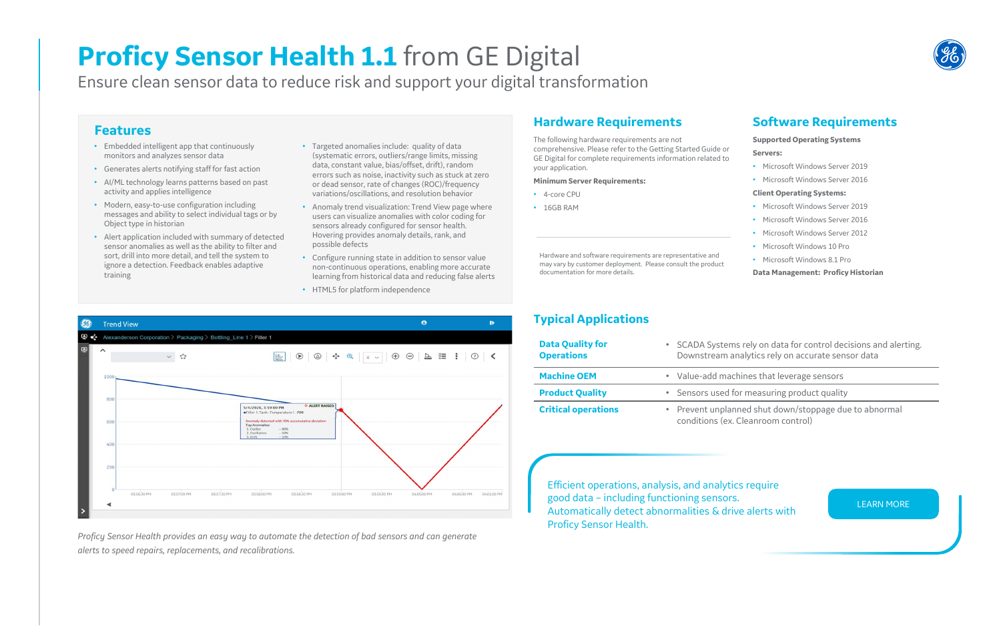# **Features**

- Embedded intelligent app that continuously monitors and analyzes sensor data
- Generates alerts notifying staff for fast action
- AI/ML technology learns patterns based on past activity and applies intelligence
- Modern, easy-to-use configuration including messages and ability to select individual tags or by Object type in historian
- Alert application included with summary of detected sensor anomalies as well as the ability to filter and sort, drill into more detail, and tell the system to ignore a detection. Feedback enables adaptive training
- Targeted anomalies include: quality of data (systematic errors, outliers/range limits, missing data, constant value, bias/offset, drift), random errors such as noise, inactivity such as stuck at zero or dead sensor, rate of changes (ROC)/frequency variations/oscillations, and resolution behavior
- Anomaly trend visualization: Trend View page where users can visualize anomalies with color coding for sensors already configured for sensor health. Hovering provides anomaly details, rank, and possible defects
- Configure running state in addition to sensor value non-continuous operations, enabling more accurate learning from historical data and reducing false alerts
- HTML5 for platform independence

# **Proficy Sensor Health 1.1** from GE Digital

Ensure clean sensor data to reduce risk and support your digital transformation

**Critical operations** • Prevent unplanned shut down/stoppage due to abnormal ons (ex. Cleanroom control)

# **Hardware Requirements**

The following hardware requirements are not comprehensive. Please refer to the Getting Started Guide or GE Digital for complete requirements information related to your application.

#### **Minimum Server Requirements:**

- 4-core CPU
- 16GB RAM

# **Software Requirements**

#### **Supported Operating Systems**

#### **Servers:**

- Microsoft Windows Server 2019
- Microsoft Windows Server 2016
- **Client Operating Systems:**
- Microsoft Windows Server 2019
- Microsoft Windows Server 2016
- Microsoft Windows Server 2012
- Microsoft Windows 10 Pro
- Microsoft Windows 8.1 Pro

**Data Management: Proficy Historian**

Systems rely on data for control decisions and alerting. tream analytics rely on accurate sensor data

dd machines that leverage sensors

**Product guarger is used for measuring product quality** 

Hardware and software requirements are representative and may vary by customer deployment. Please consult the product documentation for more details.



Efficient operations, analysis, and analytics require good data – including functioning sensors. Automatically detect abnormalities & drive alerts with Proficy Sensor Health.

[LEARN MORE](https://www.ge.com/digital/applications/proficy-operations-hub/sensor-health)

*Proficy Sensor Health provides an easy way to automate the detection of bad sensors and can generate alerts to speed repairs, replacements, and recalibrations.*



# **Typical Applications**

| <b>Data Quality for</b><br><b>Operations</b> | <b>SCADA</b><br>Downst |
|----------------------------------------------|------------------------|
| <b>Machine OEM</b>                           | • Value-a              |
| <b>Product Quality</b>                       | · Sensors              |
| <b>Critical operations</b>                   | • Prevent<br>conditio  |